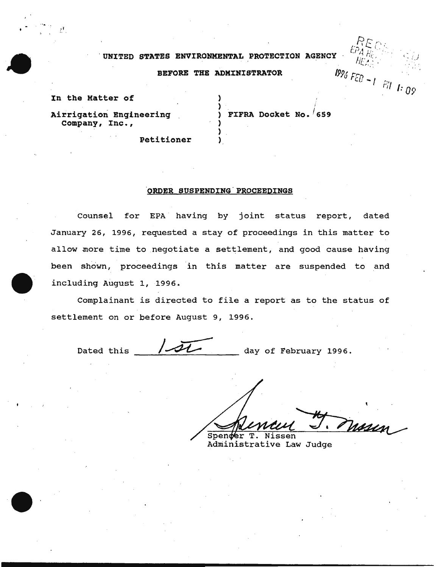## UNITED STATES ENVIRONMENTAL PROTECTION AGENCY

## BEFORE THE ADMINISTRATOR

In the Matter of

) FIFRA Docket No.  $/659$ 

1996 FEB  $-1$  Pil 1:09

Airrigation Engineering Company, Inc.,

Petitioner

## ORDER SUSPENDING PROCEEDINGS

Counsel for EPA having by joint status report, dated January 26, 1996, requested a stay of proceedings in this matter to allow more time to negotiate a settlement, and good cause having been shown, proceedings in this matter are suspended to and including August 1, 1996.

Complainant is directed to file a report as to the status of settlement on or before August 9, 1996.

Dated this day of February 1996.

Masien Spender T. Nissen

Administrative Law Judge